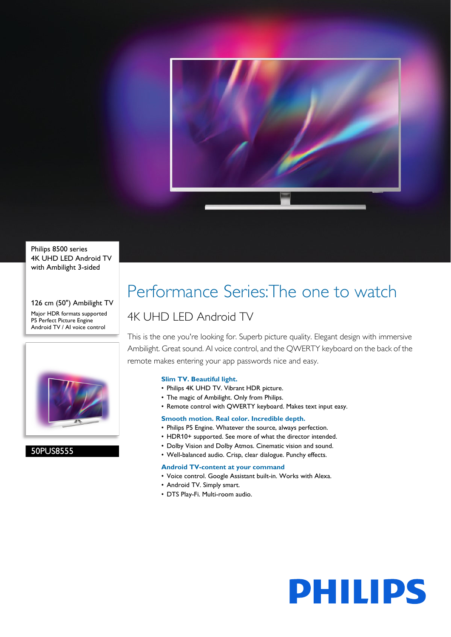

Philips 8500 series 4K UHD LED Android TV with Ambilight 3-sided

126 cm (50") Ambilight TV Major HDR formats supported P5 Perfect Picture Engine Android TV / AI voice control



50PUS8555

# Performance Series:The one to watch

### 4K UHD LED Android TV

This is the one you're looking for. Superb picture quality. Elegant design with immersive Ambilight. Great sound. AI voice control, and the QWERTY keyboard on the back of the remote makes entering your app passwords nice and easy.

#### **Slim TV. Beautiful light.**

- Philips 4K UHD TV. Vibrant HDR picture.
- The magic of Ambilight. Only from Philips.
- Remote control with QWERTY keyboard. Makes text input easy.

#### **Smooth motion. Real color. Incredible depth.**

- Philips P5 Engine. Whatever the source, always perfection.
- HDR10+ supported. See more of what the director intended.
- Dolby Vision and Dolby Atmos. Cinematic vision and sound.
- Well-balanced audio. Crisp, clear dialogue. Punchy effects.

#### **Android TV-content at your command**

• Voice control. Google Assistant built-in. Works with Alexa.

**PHILIPS** 

- Android TV. Simply smart.
- DTS Play-Fi. Multi-room audio.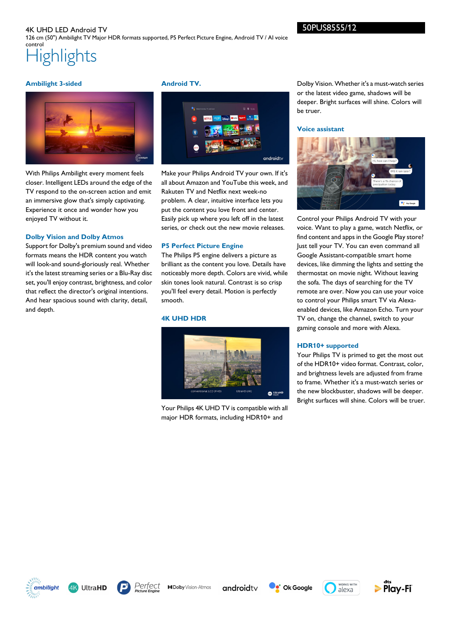#### **Ambilight 3-sided**



With Philips Ambilight every moment feels closer. Intelligent LEDs around the edge of the TV respond to the on-screen action and emit an immersive glow that's simply captivating. Experience it once and wonder how you enjoyed TV without it.

#### **Dolby Vision and Dolby Atmos**

Support for Dolby's premium sound and video formats means the HDR content you watch will look-and sound-gloriously real. Whether it's the latest streaming series or a Blu-Ray disc set, you'll enjoy contrast, brightness, and color that reflect the director's original intentions. And hear spacious sound with clarity, detail, and depth.

#### **Android TV.**



Make your Philips Android TV your own. If it's all about Amazon and YouTube this week, and Rakuten TV and Netflix next week-no problem. A clear, intuitive interface lets you put the content you love front and center. Easily pick up where you left off in the latest series, or check out the new movie releases.

#### **P5 Perfect Picture Engine**

The Philips P5 engine delivers a picture as brilliant as the content you love. Details have noticeably more depth. Colors are vivid, while skin tones look natural. Contrast is so crisp you'll feel every detail. Motion is perfectly smooth.

#### **4K UHD HDR**



Your Philips 4K UHD TV is compatible with all major HDR formats, including HDR10+ and

Dolby Vision. Whether it's a must-watch series or the latest video game, shadows will be deeper. Bright surfaces will shine. Colors will be truer.

#### **Voice assistant**



Control your Philips Android TV with your voice. Want to play a game, watch Netflix, or find content and apps in the Google Play store? Just tell your TV. You can even command all Google Assistant-compatible smart home devices, like dimming the lights and setting the thermostat on movie night. Without leaving the sofa. The days of searching for the TV remote are over. Now you can use your voice to control your Philips smart TV via Alexaenabled devices, like Amazon Echo. Turn your TV on, change the channel, switch to your gaming console and more with Alexa.

#### **HDR10+ supported**

Your Philips TV is primed to get the most out of the HDR10+ video format. Contrast, color, and brightness levels are adjusted from frame to frame. Whether it's a must-watch series or the new blockbuster, shadows will be deeper. Bright surfaces will shine. Colors will be truer.







androidty

Ok Google